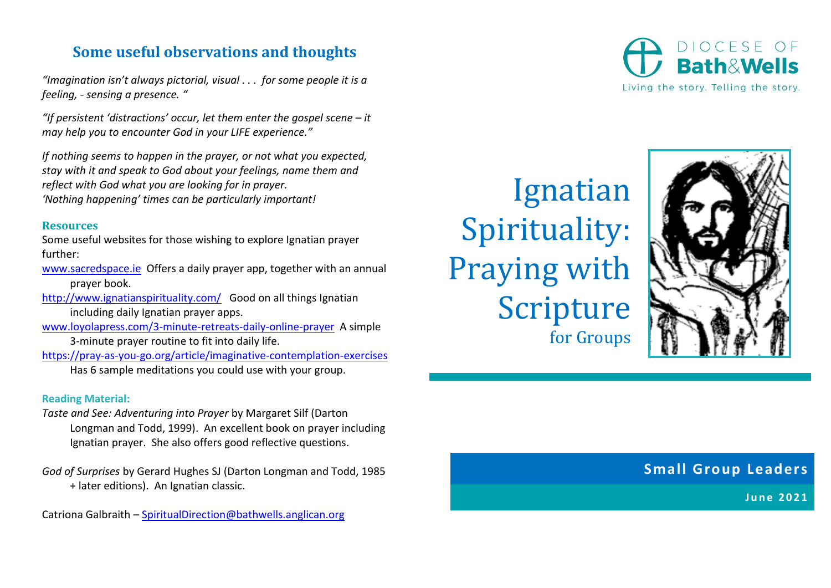## **Some useful observations and thoughts**

*"Imagination isn't always pictorial, visual . . . for some people it is a feeling, - sensing a presence. "*

*"If persistent 'distractions' occur, let them enter the gospel scene – it may help you to encounter God in your LIFE experience."*

*If nothing seems to happen in the prayer, or not what you expected, stay with it and speak to God about your feelings, name them and reflect with God what you are looking for in prayer. 'Nothing happening' times can be particularly important!*

#### **Resources**

Some useful websites for those wishing to explore Ignatian prayer further:

[www.sacredspace.ie](http://www.sacredspace.ie/) Offers a daily prayer app, together with an annual prayer book.

<http://www.ignatianspirituality.com/> Good on all things Ignatian including daily Ignatian prayer apps.

[www.loyolapress.com/3-minute-retreats-daily-online-prayer](http://www.loyolapress.com/3-minute-retreats-daily-online-prayer) A simple

- 3-minute prayer routine to fit into daily life.
- <https://pray-as-you-go.org/article/imaginative-contemplation-exercises> Has 6 sample meditations you could use with your group.

#### **Reading Material:**

- *Taste and See: Adventuring into Prayer* by Margaret Silf (Darton Longman and Todd, 1999). An excellent book on prayer including Ignatian prayer. She also offers good reflective questions.
- *God of Surprises* by Gerard Hughes SJ (Darton Longman and Todd, 1985 + later editions). An Ignatian classic.

Catriona Galbraith – [SpiritualDirection@bathwells.anglican.org](mailto:SpiritualDirection@bathwells.anglican.org)

Ignatian Spirituality: Praying with Scripture for Groups



### **Small Group Leaders**

**June 2021**